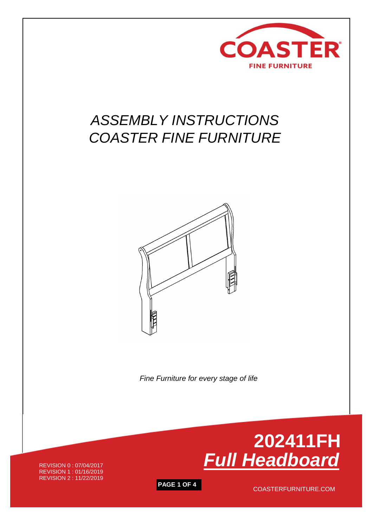

## *ASSEMBLY INSTRUCTIONS COASTER FINE FURNITURE*



 *Fine Furniture for every stage of life*

REVISION 0 : 07/04/2017 REVISION 1 : 01/16/2019 REVISION 2 : 11/22/2019



**PAGE 1 OF 4** COASTERFURNITURE.COM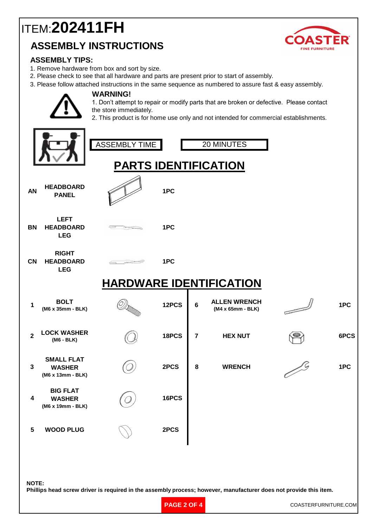## **ASSEMBLY INSTRUCTIONS** ITEM:**202411FH**



### **ASSEMBLY TIPS:**

1. Remove hardware from box and sort by size.

**WARNING!**

- 2. Please check to see that all hardware and parts are present prior to start of assembly.
- 3. Please follow attached instructions in the same sequence as numbered to assure fast & easy assembly.

1. Don't attempt to repair or modify parts that are broken or defective. Please contact the store immediately.

2. This product is for home use only and not intended for commercial establishments.

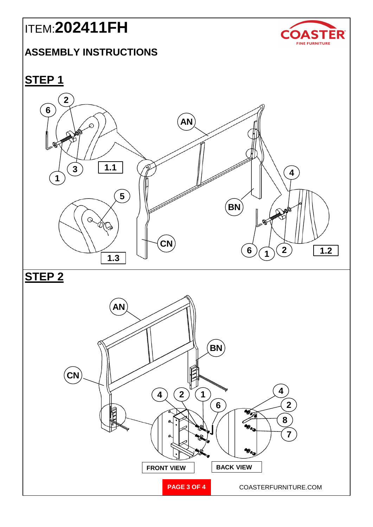# ITEM:**202411FH**

### **ASSEMBLY INSTRUCTIONS**



**STEP 1**



**STEP 2**

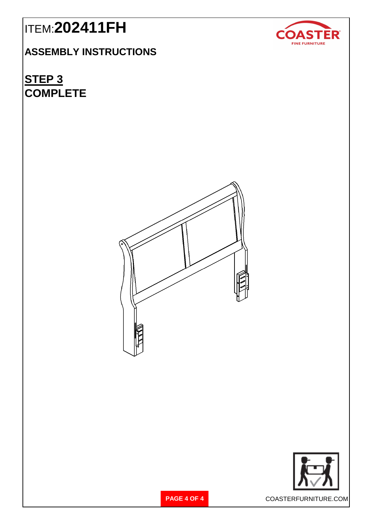## ITEM:**202411FH**

**ASSEMBLY INSTRUCTIONS**

**STEP 3 COMPLETE**